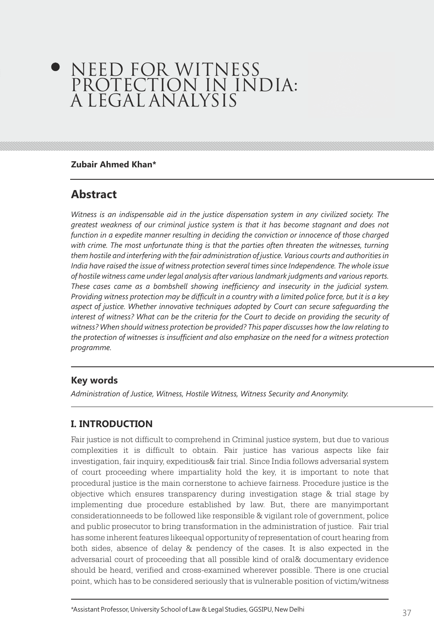# NEED FOR WITNESS PROTECTION IN INDIA: A LEGAL ANALYSIS

#### **Zubair Ahmed Khan\***

## **Abstract**

*Witness is an indispensable aid in the justice dispensation system in any civilized society. The greatest weakness of our criminal justice system is that it has become stagnant and does not function in a expedite manner resulting in deciding the conviction or innocence of those charged*  with crime. The most unfortunate thing is that the parties often threaten the witnesses, turning *them hostile and interfering with the fair administration of justice. Various courts and authorities in India have raised the issue of witness protection several times since Independence. The whole issue of hostile witness came under legal analysis after various landmark judgments and various reports. These cases came as a bombshell showing inefficiency and insecurity in the judicial system. Providing witness protection may be difficult in a country with a limited police force, but it is a key aspect of justice. Whether innovative techniques adopted by Court can secure safeguarding the*  interest of witness? What can be the criteria for the Court to decide on providing the security of *witness? When should witness protection be provided? This paper discusses how the law relating to the protection of witnesses is insufficient and also emphasize on the need for a witness protection programme.*

#### **Key words**

*Administration of Justice, Witness, Hostile Witness, Witness Security and Anonymity.*

#### **I. INTRODUCTION**

Fair justice is not difficult to comprehend in Criminal justice system, but due to various complexities it is difficult to obtain. Fair justice has various aspects like fair investigation, fair inquiry, expeditious& fair trial. Since India follows adversarial system of court proceeding where impartiality hold the key, it is important to note that procedural justice is the main cornerstone to achieve fairness. Procedure justice is the objective which ensures transparency during investigation stage & trial stage by implementing due procedure established by law. But, there are manyimportant considerationneeds to be followed like responsible & vigilant role of government, police and public prosecutor to bring transformation in the administration of justice. Fair trial has some inherent features likeequal opportunity of representation of court hearing from both sides, absence of delay & pendency of the cases. It is also expected in the adversarial court of proceeding that all possible kind of oral& documentary evidence should be heard, verified and cross-examined wherever possible. There is one crucial point, which has to be considered seriously that is vulnerable position of victim/witness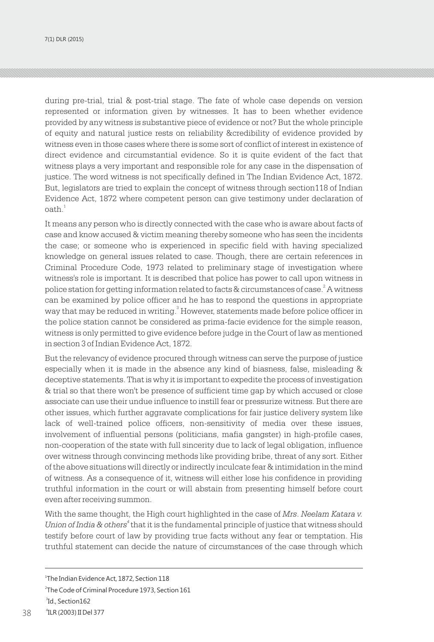7(1) DLR (2015)

during pre-trial, trial & post-trial stage. The fate of whole case depends on version represented or information given by witnesses. It has to been whether evidence provided by any witness is substantive piece of evidence or not? But the whole principle of equity and natural justice rests on reliability &credibility of evidence provided by witness even in those cases where there is some sort of conflict of interest in existence of direct evidence and circumstantial evidence. So it is quite evident of the fact that witness plays a very important and responsible role for any case in the dispensation of justice. The word witness is not specifically defined in The Indian Evidence Act, 1872. But, legislators are tried to explain the concept of witness through section118 of Indian Evidence Act, 1872 where competent person can give testimony under declaration of  $\mathsf{path.}^1$ 

It means any person who is directly connected with the case who is aware about facts of case and know accused & victim meaning thereby someone who has seen the incidents the case; or someone who is experienced in specific field with having specialized knowledge on general issues related to case. Though, there are certain references in Criminal Procedure Code, 1973 related to preliminary stage of investigation where witness's role is important. It is described that police has power to call upon witness in police station for getting information related to facts  $\&$  circumstances of case. $^2$  A witness can be examined by police officer and he has to respond the questions in appropriate way that may be reduced in writing.<sup>3</sup> However, statements made before police officer in the police station cannot be considered as prima-facie evidence for the simple reason, witness is only permitted to give evidence before judge in the Court of law as mentioned in section 3 of Indian Evidence Act, 1872.

But the relevancy of evidence procured through witness can serve the purpose of justice especially when it is made in the absence any kind of biasness, false, misleading & deceptive statements. That is why it is important to expedite the process of investigation & trial so that there won't be presence of sufficient time gap by which accused or close associate can use their undue influence to instill fear or pressurize witness. But there are other issues, which further aggravate complications for fair justice delivery system like lack of well-trained police officers, non-sensitivity of media over these issues, involvement of influential persons (politicians, mafia gangster) in high-profile cases, non-cooperation of the state with full sincerity due to lack of legal obligation, influence over witness through convincing methods like providing bribe, threat of any sort. Either of the above situations will directly or indirectly inculcate fear & intimidation in the mind of witness. As a consequence of it, witness will either lose his confidence in providing truthful information in the court or will abstain from presenting himself before court even after receiving summon.

With the same thought, the High court highlighted in the case of *Mrs*. *Neelam Katara v. Union of India & others*<sup>4</sup> that it is the fundamental principle of justice that witness should testify before court of law by providing true facts without any fear or temptation. His truthful statement can decide the nature of circumstances of the case through which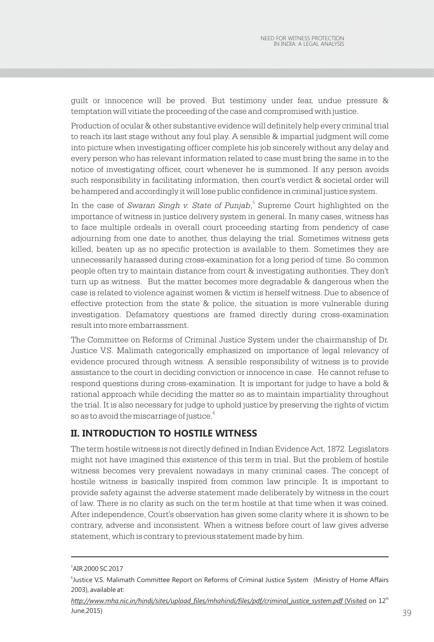guilt or innocence will be proved. But testimony under fear, undue pressure & temptation will vitiate the proceeding of the case and compromised with justice.

Production of ocular & other substantive evidence will definitely help every criminal trial to reach its last stage without any foul play. A sensible & impartial judgment will come into picture when investigating officer complete his job sincerely without any delay and every person who has relevant information related to case must bring the same in to the notice of investigating officer, court whenever he is summoned. If any person avoids such responsibility in facilitating information, then court's verdict & societal order will be hampered and accordingly it will lose public confidence in criminal justice system.

In the case of *Swaran Singh v. State of Punjab*,<sup>5</sup> Supreme Court highlighted on the importance of witness in justice delivery system in general. In many cases, witness has to face multiple ordeals in overall court proceeding starting from pendency of case adjourning from one date to another, thus delaying the trial. Sometimes witness gets killed, beaten up as no specific protection is available to them. Sometimes they are unnecessarily harassed during cross-examination for a long period of time. So common people often try to maintain distance from court & investigating authorities. They don't turn up as witness. But the matter becomes more degradable & dangerous when the case is related to violence against women & victim is herself witness. Due to absence of effective protection from the state & police, the situation is more vulnerable during investigation. Defamatory questions are framed directly during cross-examination result into more embarrassment.

The Committee on Reforms of Criminal Justice System under the chairmanship of Dr. Justice V.S. Malimath categorically emphasized on importance of legal relevancy of evidence procured through witness. A sensible responsibility of witness is to provide assistance to the court in deciding conviction or innocence in case. He cannot refuse to respond questions during cross-examination. It is important for judge to have a bold & rational approach while deciding the matter so as to maintain impartiality throughout the trial. It is also necessary for judge to uphold justice by preserving the rights of victim so as to avoid the miscarriage of justice. $^{\mathrm{6}}$ 

#### **II. INTRODUCTION TO HOSTILE WITNESS**

The term hostile witness is not directly defined in Indian Evidence Act, 1872. Legislators might not have imagined this existence of this term in trial. But the problem of hostile witness becomes very prevalent nowadays in many criminal cases. The concept of hostile witness is basically inspired from common law principle. It is important to provide safety against the adverse statement made deliberately by witness in the court of law. There is no clarity as such on the term hostile at that time when it was coined. After independence, Court's observation has given some clarity where it is shown to be contrary, adverse and inconsistent. When a witness before court of law gives adverse statement, which is contrary to previous statement made by him.

<sup>5</sup> AIR 2000 SC 2017

<sup>&</sup>lt;sup>6</sup>Justice V.S. Malimath Committee Report on Reforms of Criminal Justice System (Ministry of Home Affairs 2003), available at: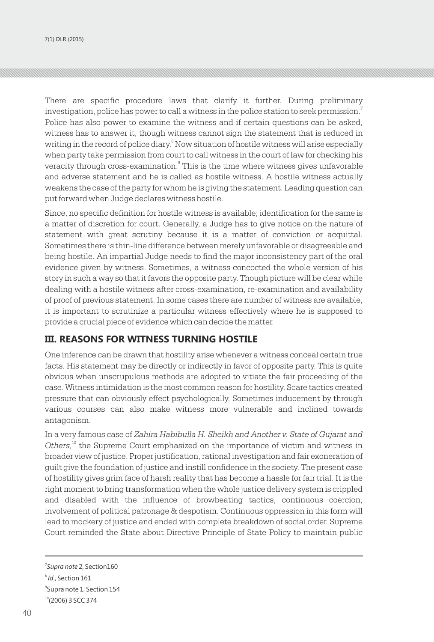There are specific procedure laws that clarify it further. During preliminary investigation, police has power to call a witness in the police station to seek permission. $^{\rm 7}$ Police has also power to examine the witness and if certain questions can be asked, witness has to answer it, though witness cannot sign the statement that is reduced in writing in the record of police diary.<sup>8</sup> Now situation of hostile witness will arise especially when party take permission from court to call witness in the court of law for checking his veracity through cross-examination. $^{\circ}$  This is the time where witness gives unfavorable and adverse statement and he is called as hostile witness. A hostile witness actually weakens the case of the party for whom he is giving the statement. Leading question can put forward when Judge declares witness hostile.

Since, no specific definition for hostile witness is available; identification for the same is a matter of discretion for court. Generally, a Judge has to give notice on the nature of statement with great scrutiny because it is a matter of conviction or acquittal. Sometimes there is thin-line difference between merely unfavorable or disagreeable and being hostile. An impartial Judge needs to find the major inconsistency part of the oral evidence given by witness. Sometimes, a witness concocted the whole version of his story in such a way so that it favors the opposite party. Though picture will be clear while dealing with a hostile witness after cross-examination, re-examination and availability of proof of previous statement. In some cases there are number of witness are available, it is important to scrutinize a particular witness effectively where he is supposed to provide a crucial piece of evidence which can decide the matter.

#### **III. REASONS FOR WITNESS TURNING HOSTILE**

One inference can be drawn that hostility arise whenever a witness conceal certain true facts. His statement may be directly or indirectly in favor of opposite party. This is quite obvious when unscrupulous methods are adopted to vitiate the fair proceeding of the case. Witness intimidation is the most common reason for hostility. Scare tactics created pressure that can obviously effect psychologically. Sometimes inducement by through various courses can also make witness more vulnerable and inclined towards antagonism.

In a very famous case of *Zahira Habibulla H. Sheikh and Another v. State of Gujarat and*  Others,<sup>10</sup> the Supreme Court emphasized on the importance of victim and witness in broader view of justice. Proper justification, rational investigation and fair exoneration of guilt give the foundation of justice and instill confidence in the society. The present case of hostility gives grim face of harsh reality that has become a hassle for fair trial. It is the right moment to bring transformation when the whole justice delivery system is crippled and disabled with the influence of browbeating tactics, continuous coercion, involvement of political patronage & despotism. Continuous oppression in this form will lead to mockery of justice and ended with complete breakdown of social order. Supreme Court reminded the State about Directive Principle of State Policy to maintain public

<sup>7</sup> *Supra note* 2, Section160 8 *Id*., Section 161 9 Supra note 1, Section 154  $10(2006)$  3 SCC 374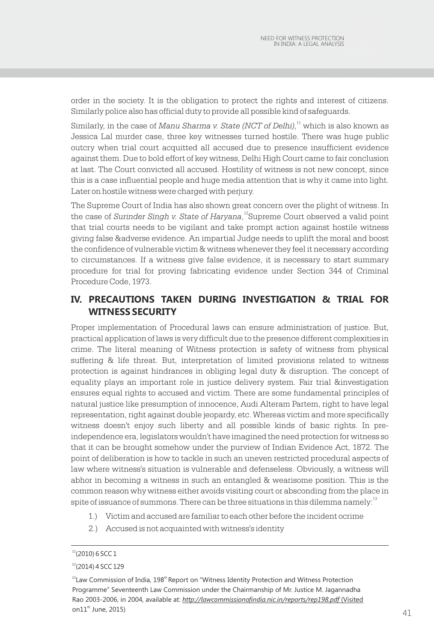order in the society. It is the obligation to protect the rights and interest of citizens. Similarly police also has official duty to provide all possible kind of safeguards.

Similarly, in the case of *Manu Sharma v. State (NCT of Delhi)*,<sup>11</sup> which is also known as Jessica Lal murder case, three key witnesses turned hostile. There was huge public outcry when trial court acquitted all accused due to presence insufficient evidence against them. Due to bold effort of key witness, Delhi High Court came to fair conclusion at last. The Court convicted all accused. Hostility of witness is not new concept, since this is a case influential people and huge media attention that is why it came into light. Later on hostile witness were charged with perjury.

The Supreme Court of India has also shown great concern over the plight of witness. In the case of *Surinder Singh v. State of Haryana*, <sup>12</sup> Supreme Court observed a valid point that trial courts needs to be vigilant and take prompt action against hostile witness giving false &adverse evidence. An impartial Judge needs to uplift the moral and boost the confidence of vulnerable victim & witness whenever they feel it necessary according to circumstances. If a witness give false evidence, it is necessary to start summary procedure for trial for proving fabricating evidence under Section 344 of Criminal Procedure Code, 1973.

## **IV. PRECAUTIONS TAKEN DURING INVESTIGATION & TRIAL FOR WITNESS SECURITY**

Proper implementation of Procedural laws can ensure administration of justice. But, practical application of laws is very difficult due to the presence different complexities in crime. The literal meaning of Witness protection is safety of witness from physical suffering & life threat. But, interpretation of limited provisions related to witness protection is against hindrances in obliging legal duty & disruption. The concept of equality plays an important role in justice delivery system. Fair trial &investigation ensures equal rights to accused and victim. There are some fundamental principles of natural justice like presumption of innocence, Audi Alteram Partem, right to have legal representation, right against double jeopardy, etc. Whereas victim and more specifically witness doesn't enjoy such liberty and all possible kinds of basic rights. In preindependence era, legislators wouldn't have imagined the need protection for witness so that it can be brought somehow under the purview of Indian Evidence Act, 1872. The point of deliberation is how to tackle in such an uneven restricted procedural aspects of law where witness's situation is vulnerable and defenseless. Obviously, a witness will abhor in becoming a witness in such an entangled & wearisome position. This is the common reason why witness either avoids visiting court or absconding from the place in spite of issuance of summons. There can be three situations in this dilemma namely: $^{13}$ 

- 1.) Victim and accused are familiar to each other before the incident ocrime
- 2.) Accused is not acquainted with witness's identity

 $11(2010)$  6 SCC 1

 $12(2014)$  4 SCC 129

 $\frac{1}{41}$  and  $\frac{1}{41}$  $13$  Law Commission of India, 198<sup>th</sup> Report on "Witness Identity Protection and Witness Protection Programme" Seventeenth Law Commission under the Chairmanship of Mr. Justice M. Jagannadha Rao 2003-2006, in 2004, available at: *http://lawcommissionofindia.nic.in/reports/rep198.pdf* (Visited on $11<sup>th</sup>$  June, 2015)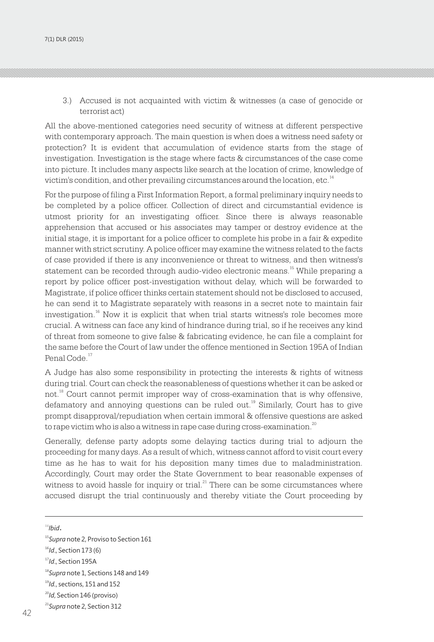3.) Accused is not acquainted with victim & witnesses (a case of genocide or terrorist act)

All the above-mentioned categories need security of witness at different perspective with contemporary approach. The main question is when does a witness need safety or protection? It is evident that accumulation of evidence starts from the stage of investigation. Investigation is the stage where facts & circumstances of the case come into picture. It includes many aspects like search at the location of crime, knowledge of victim's condition, and other prevailing circumstances around the location, etc.<sup>14</sup>

For the purpose of filing a First Information Report, a formal preliminary inquiry needs to be completed by a police officer. Collection of direct and circumstantial evidence is utmost priority for an investigating officer. Since there is always reasonable apprehension that accused or his associates may tamper or destroy evidence at the initial stage, it is important for a police officer to complete his probe in a fair & expedite manner with strict scrutiny. A police officer may examine the witness related to the facts of case provided if there is any inconvenience or threat to witness, and then witness's statement can be recorded through audio-video electronic means.<sup>15</sup> While preparing a report by police officer post-investigation without delay, which will be forwarded to Magistrate, if police officer thinks certain statement should not be disclosed to accused, he can send it to Magistrate separately with reasons in a secret note to maintain fair investigation.<sup>16</sup> Now it is explicit that when trial starts witness's role becomes more crucial. A witness can face any kind of hindrance during trial, so if he receives any kind of threat from someone to give false & fabricating evidence, he can file a complaint for the same before the Court of law under the offence mentioned in Section 195A of Indian Penal Code.<sup>17</sup>

A Judge has also some responsibility in protecting the interests & rights of witness during trial. Court can check the reasonableness of questions whether it can be asked or not.<sup>18</sup> Court cannot permit improper way of cross-examination that is why offensive,  $19$  defamatory and annoying questions can be ruled out.<sup>19</sup> Similarly, Court has to give prompt disapproval/repudiation when certain immoral & offensive questions are asked to rape victim who is also a witness in rape case during cross-examination. $^{20}$ 

Generally, defense party adopts some delaying tactics during trial to adjourn the proceeding for many days. As a result of which, witness cannot afford to visit court every time as he has to wait for his deposition many times due to maladministration. Accordingly, Court may order the State Government to bear reasonable expenses of witness to avoid hassle for inquiry or trial. $^{21}$  There can be some circumstances where accused disrupt the trial continuously and thereby vitiate the Court proceeding by

<sup>14</sup>*Ibid*.

<sup>20</sup>*Id*, Section 146 (proviso)

<sup>15</sup>*Supra* note 2, Proviso to Section 161

<sup>16</sup>*Id*., Section 173 (6)

<sup>17</sup>*Id*., Section 195A

<sup>18</sup>*Supra* note 1, Sections 148 and 149

<sup>19</sup>*Id.*, sections, 151 and 152

<sup>42</sup> 43 <sup>21</sup>*Supra* note 2, Section 312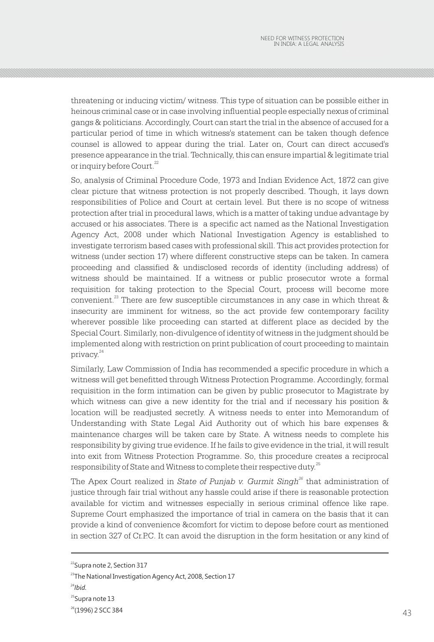threatening or inducing victim/ witness. This type of situation can be possible either in heinous criminal case or in case involving influential people especially nexus of criminal gangs & politicians. Accordingly, Court can start the trial in the absence of accused for a particular period of time in which witness's statement can be taken though defence counsel is allowed to appear during the trial. Later on, Court can direct accused's presence appearance in the trial. Technically, this can ensure impartial & legitimate trial or inquiry before Court.<sup>22</sup>

So, analysis of Criminal Procedure Code, 1973 and Indian Evidence Act, 1872 can give clear picture that witness protection is not properly described. Though, it lays down responsibilities of Police and Court at certain level. But there is no scope of witness protection after trial in procedural laws, which is a matter of taking undue advantage by accused or his associates. There is a specific act named as the National Investigation Agency Act, 2008 under which National Investigation Agency is established to investigate terrorism based cases with professional skill. This act provides protection for witness (under section 17) where different constructive steps can be taken. In camera proceeding and classified & undisclosed records of identity (including address) of witness should be maintained. If a witness or public prosecutor wrote a formal requisition for taking protection to the Special Court, process will become more convenient. $^{23}$  There are few susceptible circumstances in any case in which threat  $\&$ insecurity are imminent for witness, so the act provide few contemporary facility wherever possible like proceeding can started at different place as decided by the Special Court. Similarly, non-divulgence of identity of witness in the judgment should be implemented along with restriction on print publication of court proceeding to maintain privacy.<sup>24</sup>

Similarly, Law Commission of India has recommended a specific procedure in which a witness will get benefitted through Witness Protection Programme. Accordingly, formal requisition in the form intimation can be given by public prosecutor to Magistrate by which witness can give a new identity for the trial and if necessary his position & location will be readjusted secretly. A witness needs to enter into Memorandum of Understanding with State Legal Aid Authority out of which his bare expenses & maintenance charges will be taken care by State. A witness needs to complete his responsibility by giving true evidence. If he fails to give evidence in the trial, it will result into exit from Witness Protection Programme. So, this procedure creates a reciprocal responsibility of State and Witness to complete their respective duty.<sup>25</sup>

*26* The Apex Court realized in *State of Punjab v. Gurmit Singh*<sup>26</sup> that administration of justice through fair trial without any hassle could arise if there is reasonable protection available for victim and witnesses especially in serious criminal offence like rape. Supreme Court emphasized the importance of trial in camera on the basis that it can provide a kind of convenience &comfort for victim to depose before court as mentioned in section 327 of Cr.P.C. It can avoid the disruption in the form hesitation or any kind of

 $^{22}$ Supra note 2, Section 317

<sup>&</sup>lt;sup>23</sup>The National Investigation Agency Act, 2008, Section 17

<sup>24</sup>*Ibid.*

<sup>&</sup>lt;sup>25</sup>Supra note 13

<sup>&</sup>lt;sup>26</sup>(1996) 2 SCC 384  $(1996)$  2 SCC 384  $(330)$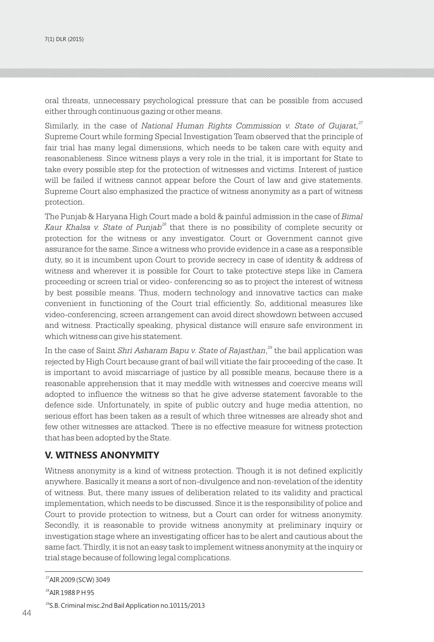oral threats, unnecessary psychological pressure that can be possible from accused either through continuous gazing or other means.

*<sup>27</sup>* Similarly, in the case of *National Human Rights Commission v. State of Gujarat,* Supreme Court while forming Special Investigation Team observed that the principle of fair trial has many legal dimensions, which needs to be taken care with equity and reasonableness. Since witness plays a very role in the trial, it is important for State to take every possible step for the protection of witnesses and victims. Interest of justice will be failed if witness cannot appear before the Court of law and give statements. Supreme Court also emphasized the practice of witness anonymity as a part of witness protection.

The Punjab & Haryana High Court made a bold & painful admission in the case of *Bimal Kaur Khalsa v. State of Punjab*<sup>28</sup> that there is no possibility of complete security or protection for the witness or any investigator. Court or Government cannot give assurance for the same. Since a witness who provide evidence in a case as a responsible duty, so it is incumbent upon Court to provide secrecy in case of identity & address of witness and wherever it is possible for Court to take protective steps like in Camera proceeding or screen trial or video- conferencing so as to project the interest of witness by best possible means. Thus, modern technology and innovative tactics can make convenient in functioning of the Court trial efficiently. So, additional measures like video-conferencing, screen arrangement can avoid direct showdown between accused and witness. Practically speaking, physical distance will ensure safe environment in which witness can give his statement.

In the case of Saint *Shri Asharam Bapu v. State of Rajasthan*,<sup>29</sup> the bail application was rejected by High Court because grant of bail will vitiate the fair proceeding of the case. It is important to avoid miscarriage of justice by all possible means, because there is a reasonable apprehension that it may meddle with witnesses and coercive means will adopted to influence the witness so that he give adverse statement favorable to the defence side. Unfortunately, in spite of public outcry and huge media attention, no serious effort has been taken as a result of which three witnesses are already shot and few other witnesses are attacked. There is no effective measure for witness protection that has been adopted by the State.

#### **V. WITNESS ANONYMITY**

Witness anonymity is a kind of witness protection. Though it is not defined explicitly anywhere. Basically it means a sort of non-divulgence and non-revelation of the identity of witness. But, there many issues of deliberation related to its validity and practical implementation, which needs to be discussed. Since it is the responsibility of police and Court to provide protection to witness, but a Court can order for witness anonymity. Secondly, it is reasonable to provide witness anonymity at preliminary inquiry or investigation stage where an investigating officer has to be alert and cautious about the same fact. Thirdly, it is not an easy task to implement witness anonymity at the inquiry or trial stage because of following legal complications.

<sup>27</sup>AIR 2009 (SCW) 3049

<sup>&</sup>lt;sup>28</sup>AIR 1988 P H 95

 $44$ <sup>29</sup>S.B. Criminal misc.2nd Bail Application no.10115/2013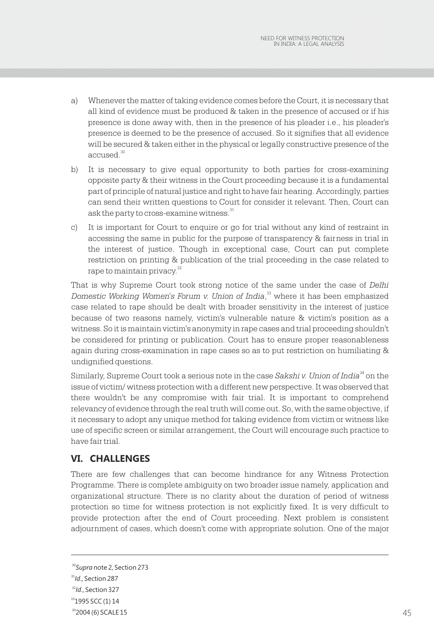- a) Whenever the matter of taking evidence comes before the Court, it is necessary that all kind of evidence must be produced & taken in the presence of accused or if his presence is done away with, then in the presence of his pleader i.e., his pleader's presence is deemed to be the presence of accused. So it signifies that all evidence will be secured & taken either in the physical or legally constructive presence of the accused.<sup>30</sup>
- b) It is necessary to give equal opportunity to both parties for cross-examining opposite party & their witness in the Court proceeding because it is a fundamental part of principle of natural justice and right to have fair hearing. Accordingly, parties can send their written questions to Court for consider it relevant. Then, Court can ask the party to cross-examine witness.<sup>31</sup>
- c) It is important for Court to enquire or go for trial without any kind of restraint in accessing the same in public for the purpose of transparency & fairness in trial in the interest of justice. Though in exceptional case, Court can put complete restriction on printing & publication of the trial proceeding in the case related to rape to maintain privacy.<sup>32</sup>

That is why Supreme Court took strong notice of the same under the case of *Delhi*  <sup>33</sup> *Domestic Working Women's Forum v. Union of India*, where it has been emphasized case related to rape should be dealt with broader sensitivity in the interest of justice because of two reasons namely, victim's vulnerable nature & victim's position as a witness. So it is maintain victim's anonymity in rape cases and trial proceeding shouldn't be considered for printing or publication. Court has to ensure proper reasonableness again during cross-examination in rape cases so as to put restriction on humiliating & undignified questions.

Similarly, Supreme Court took a serious note in the case Sakshi v. Union of India<sup>34</sup> on the issue of victim/ witness protection with a different new perspective. It was observed that there wouldn't be any compromise with fair trial. It is important to comprehend relevancy of evidence through the real truth will come out. So, with the same objective, if it necessary to adopt any unique method for taking evidence from victim or witness like use of specific screen or similar arrangement, the Court will encourage such practice to have fair trial.

#### **VI. CHALLENGES**

There are few challenges that can become hindrance for any Witness Protection Programme. There is complete ambiguity on two broader issue namely, application and organizational structure. There is no clarity about the duration of period of witness protection so time for witness protection is not explicitly fixed. It is very difficult to provide protection after the end of Court proceeding. Next problem is consistent adjournment of cases, which doesn't come with appropriate solution. One of the major

<sup>30</sup>*Supra* note 2, Section 273

<sup>31</sup>*Id*., Section 287

<sup>&</sup>lt;sup>32</sup>*Id.*, Section 327

<sup>&</sup>lt;sup>33</sup>1995 SCC (1) 14

 $\frac{45}{2004}$  (6) SCALE 15 45 <sup>34</sup>2004 (6) SCALE 15